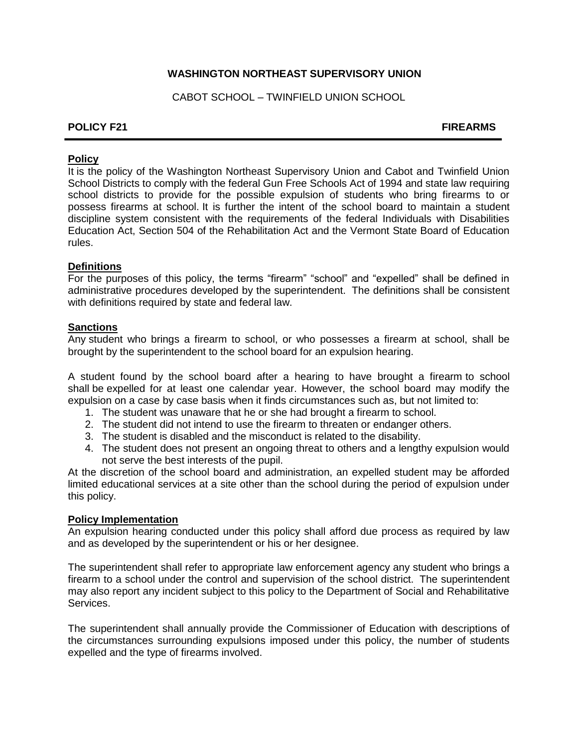# **WASHINGTON NORTHEAST SUPERVISORY UNION**

CABOT SCHOOL – TWINFIELD UNION SCHOOL

## **POLICY F21** FIREARMS

## **Policy**

It is the policy of the Washington Northeast Supervisory Union and Cabot and Twinfield Union School Districts to comply with the federal Gun Free Schools Act of 1994 and state law requiring school districts to provide for the possible expulsion of students who bring firearms to or possess firearms at school. It is further the intent of the school board to maintain a student discipline system consistent with the requirements of the federal Individuals with Disabilities Education Act, Section 504 of the Rehabilitation Act and the Vermont State Board of Education rules.

## **Definitions**

For the purposes of this policy, the terms "firearm" "school" and "expelled" shall be defined in administrative procedures developed by the superintendent. The definitions shall be consistent with definitions required by state and federal law.

#### **Sanctions**

Any student who brings a firearm to school, or who possesses a firearm at school, shall be brought by the superintendent to the school board for an expulsion hearing.

A student found by the school board after a hearing to have brought a firearm to school shall be expelled for at least one calendar year. However, the school board may modify the expulsion on a case by case basis when it finds circumstances such as, but not limited to:

- 1. The student was unaware that he or she had brought a firearm to school.
- 2. The student did not intend to use the firearm to threaten or endanger others.
- 3. The student is disabled and the misconduct is related to the disability.
- 4. The student does not present an ongoing threat to others and a lengthy expulsion would not serve the best interests of the pupil.

At the discretion of the school board and administration, an expelled student may be afforded limited educational services at a site other than the school during the period of expulsion under this policy.

#### **Policy Implementation**

An expulsion hearing conducted under this policy shall afford due process as required by law and as developed by the superintendent or his or her designee.

The superintendent shall refer to appropriate law enforcement agency any student who brings a firearm to a school under the control and supervision of the school district. The superintendent may also report any incident subject to this policy to the Department of Social and Rehabilitative Services.

The superintendent shall annually provide the Commissioner of Education with descriptions of the circumstances surrounding expulsions imposed under this policy, the number of students expelled and the type of firearms involved.